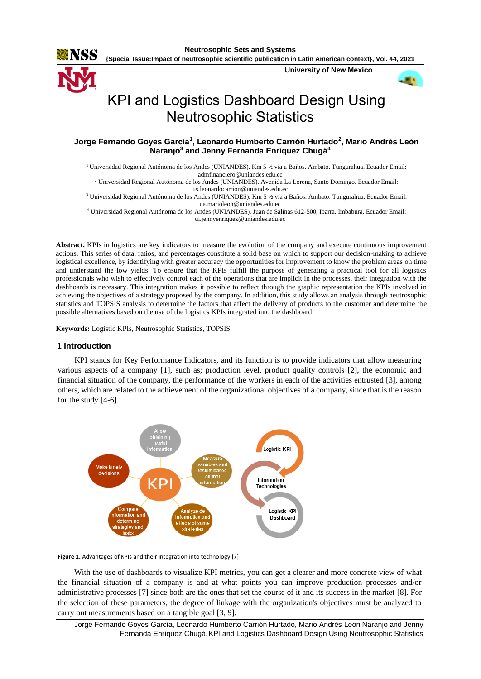

**{Special Issue:Impact of neutrosophic scientific publication in Latin American context}, Vol. 44, 2021** 188

**University of New Mexico**



# KPI and Logistics Dashboard Design Using Neutrosophic Statistics

**Jorge Fernando Goyes García<sup>1</sup> , Leonardo Humberto Carrión Hurtado<sup>2</sup> , Mario Andrés León Naranjo<sup>3</sup> and Jenny Fernanda Enríquez Chugá<sup>4</sup>**

<sup>1</sup>Universidad Regional Autónoma de los Andes (UNIANDES). Km 5 ½ vía a Baños. Ambato. Tungurahua. Ecuador Email: [admfinanciero@uniandes.edu.ec](mailto:admfinanciero@uniandes.edu.ec) <sup>2</sup> Universidad Regional Autónoma de los Andes (UNIANDES). Avenida La Lorena, Santo Domingo. Ecuador Email: [us.leonardocarrion@uniandes.edu.ec](mailto:us.leonardocarrion@uniandes.edu.ec)  <sup>3</sup> Universidad Regional Autónoma de los Andes (UNIANDES). Km 5 ½ vía a Baños. Ambato. Tungurahua. Ecuador Email: [ua.marioleon@uniandes.edu.ec](mailto:ua.marioleon@uniandes.edu.ec) <sup>4</sup> Universidad Regional Autónoma de los Andes (UNIANDES). Juan de Salinas 612-500, Ibarra. Imbabura. Ecuador Email:

[ui.jennyenriquez@uniandes.edu.ec](mailto:ui.jennyenriquez@uniandes.edu.ec)

**Abstract.** KPIs in logistics are key indicators to measure the evolution of the company and execute continuous improvement actions. This series of data, ratios, and percentages constitute a solid base on which to support our decision-making to achieve logistical excellence, by identifying with greater accuracy the opportunities for improvement to know the problem areas on time and understand the low yields. To ensure that the KPIs fulfill the purpose of generating a practical tool for all logistics professionals who wish to effectively control each of the operations that are implicit in the processes, their integration with the dashboards is necessary. This integration makes it possible to reflect through the graphic representation the KPIs involved in achieving the objectives of a strategy proposed by the company. In addition, this study allows an analysis through neutrosophic statistics and TOPSIS analysis to determine the factors that affect the delivery of products to the customer and determine the possible alternatives based on the use of the logistics KPIs integrated into the dashboard.

**Keywords:** Logistic KPIs, Neutrosophic Statistics, TOPSIS

# **1 Introduction**

KPI stands for Key Performance Indicators, and its function is to provide indicators that allow measuring various aspects of a company [\[1\]](#page-8-0), such as; production level, product quality controls [\[2\]](#page-8-1), the economic and financial situation of the company, the performance of the workers in each of the activities entrusted [\[3\]](#page-8-2), among others, which are related to the achievement of the organizational objectives of a company, since that is the reason for the study [\[4-6\]](#page-8-3).



**Figure 1.** Advantages of KPIs and their integration into technology [\[7\]](#page-8-4)

With the use of dashboards to visualize KPI metrics, you can get a clearer and more concrete view of what the financial situation of a company is and at what points you can improve production processes and/or administrative processes [\[7\]](#page-8-4) since both are the ones that set the course of it and its success in the market [\[8\]](#page-8-5). For the selection of these parameters, the degree of linkage with the organization's objectives must be analyzed to carry out measurements based on a tangible goal [\[3,](#page-8-2) [9\]](#page-8-6).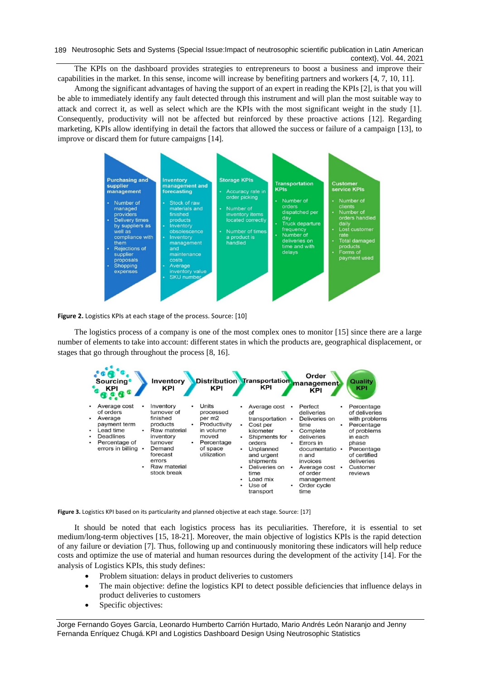189 Neutrosophic Sets and Systems {Special Issue: Impact of neutrosophic scientific publication in Latin American context}, Vol. 44, 2021

The KPIs on the dashboard provides strategies to entrepreneurs to boost a business and improve their capabilities in the market. In this sense, income will increase by benefiting partners and workers [\[4,](#page-8-3) [7,](#page-8-4) [10,](#page-8-7) [11\]](#page-8-8).

Among the significant advantages of having the support of an expert in reading the KPIs [\[2\]](#page-8-1), is that you will be able to immediately identify any fault detected through this instrument and will plan the most suitable way to attack and correct it, as well as select which are the KPIs with the most significant weight in the study [\[1\]](#page-8-0). Consequently, productivity will not be affected but reinforced by these proactive actions [\[12\]](#page-8-9). Regarding marketing, KPIs allow identifying in detail the factors that allowed the success or failure of a campaign [\[13\]](#page-9-0), to improve or discard them for future campaigns [\[14\]](#page-9-1).



**Figure 2.** Logistics KPIs at each stage of the process. Source: [\[10\]](#page-8-7)

The logistics process of a company is one of the most complex ones to monitor [\[15\]](#page-9-2) since there are a large number of elements to take into account: different states in which the products are, geographical displacement, or stages that go through throughout the process [\[8,](#page-8-5) [16\]](#page-9-3).



**Figure 3.** Logistics KPI based on its particularity and planned objective at each stage. Source: [\[17\]](#page-9-4)

It should be noted that each logistics process has its peculiarities. Therefore, it is essential to set medium/long-term objectives [\[15,](#page-9-2) [18-21\]](#page-9-5). Moreover, the main objective of logistics KPIs is the rapid detection of any failure or deviation [\[7\]](#page-8-4). Thus, following up and continuously monitoring these indicators will help reduce costs and optimize the use of material and human resources during the development of the activity [\[14\]](#page-9-1). For the analysis of Logistics KPIs, this study defines:

- Problem situation: delays in product deliveries to customers
- The main objective: define the logistics KPI to detect possible deficiencies that influence delays in product deliveries to customers
- Specific objectives:

Jorge Fernando Goyes García, Leonardo Humberto Carrión Hurtado, Mario Andrés León Naranjo and Jenny Fernanda Enríquez Chugá.KPI and Logistics Dashboard Design Using Neutrosophic Statistics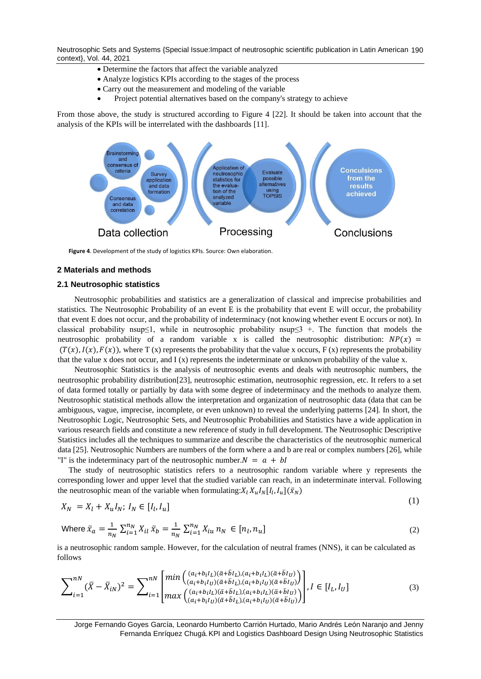Neutrosophic Sets and Systems {Special Issue:Impact of neutrosophic scientific publication in Latin American 190 context}, Vol. 44, 2021

- Determine the factors that affect the variable analyzed
- Analyze logistics KPIs according to the stages of the process
- Carry out the measurement and modeling of the variable
- Project potential alternatives based on the company's strategy to achieve

From those above, the study is structured according to Figure 4 [\[22\]](#page-9-6). It should be taken into account that the analysis of the KPIs will be interrelated with the dashboards [\[11\]](#page-8-8).



**Figure 4**. Development of the study of logistics KPIs. Source: Own elaboration.

#### **2 Materials and methods**

#### **2.1 Neutrosophic statistics**

Neutrosophic probabilities and statistics are a generalization of classical and imprecise probabilities and statistics. The Neutrosophic Probability of an event E is the probability that event E will occur, the probability that event E does not occur, and the probability of indeterminacy (not knowing whether event E occurs or not). In classical probability nsup≤1, while in neutrosophic probability nsup≤3 +. The function that models the neutrosophic probability of a random variable x is called the neutrosophic distribution:  $NP(x)$  =  $(T(x), I(x), F(x))$ , where T (x) represents the probability that the value x occurs, F (x) represents the probability that the value x does not occur, and  $I(x)$  represents the indeterminate or unknown probability of the value x.

Neutrosophic Statistics is the analysis of neutrosophic events and deals with neutrosophic numbers, the neutrosophic probability distribution[\[23\]](#page-9-7), neutrosophic estimation, neutrosophic regression, etc. It refers to a set of data formed totally or partially by data with some degree of indeterminacy and the methods to analyze them. Neutrosophic statistical methods allow the interpretation and organization of neutrosophic data (data that can be ambiguous, vague, imprecise, incomplete, or even unknown) to reveal the underlying patterns [\[24\]](#page-9-8). In short, the Neutrosophic Logic, Neutrosophic Sets, and Neutrosophic Probabilities and Statistics have a wide application in various research fields and constitute a new reference of study in full development. The Neutrosophic Descriptive Statistics includes all the techniques to summarize and describe the characteristics of the neutrosophic numerical data [\[25\]](#page-9-9). Neutrosophic Numbers are numbers of the form where a and b are real or complex numbers [\[26\]](#page-9-10), while "I" is the indeterminacy part of the neutrosophic number. $N = a + bl$ 

The study of neutrosophic statistics refers to a neutrosophic random variable where y represents the corresponding lower and upper level that the studied variable can reach, in an indeterminate interval. Following the neutrosophic mean of the variable when formulating:  $X_l X_u I_N [I_l, I_u] (\bar{x}_N)$ 

$$
X_N = X_l + X_u I_N; I_N \in [I_l, I_u]
$$

 $(1)$ 

Where 
$$
\bar{x}_a = \frac{1}{n_N} \sum_{i=1}^{n_N} X_{il} \,\bar{x}_b = \frac{1}{n_N} \sum_{i=1}^{n_N} X_{iu} \, n_N \in [n_l, n_u]
$$
 (2)

is a neutrosophic random sample. However, for the calculation of neutral frames (NNS), it can be calculated as follows

$$
\sum_{i=1}^{nN} (\bar{X} - \bar{X}_{iN})^2 = \sum_{i=1}^{nN} \begin{bmatrix} \min\left( \frac{(a_i + b_i I_L)(\bar{a} + \bar{b} I_L)(a_i + b_i I_L)(\bar{a} + \bar{b} I_U)}{(a_i + b_i I_U)(\bar{a} + \bar{b} I_L),(a_i + b_i I_U)(\bar{a} + \bar{b} I_U)} \right) \\ \max\left( \frac{(a_i + b_i I_L)(\bar{a} + \bar{b} I_L)(a_i + b_i I_L)(\bar{a} + \bar{b} I_U)}{(a_i + b_i I_U)(\bar{a} + \bar{b} I_L),(a_i + b_i I_U)(\bar{a} + \bar{b} I_U)} \right) \end{bmatrix}, I \in [I_L, I_U]
$$
\n(3)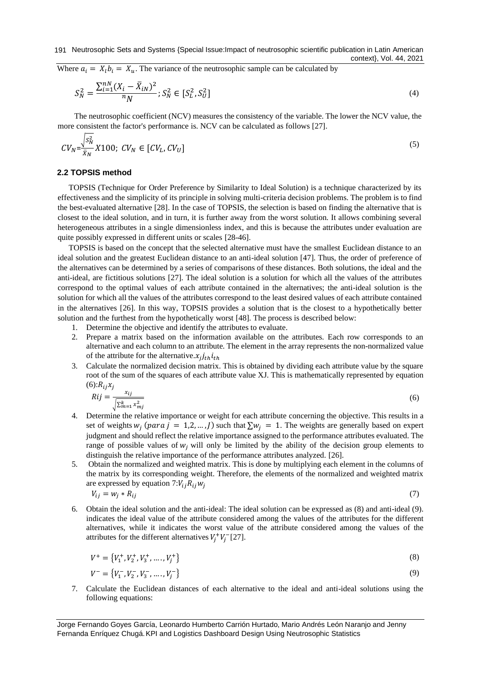Where  $a_i = X_i b_i = X_u$ . The variance of the neutrosophic sample can be calculated by

$$
S_N^2 = \frac{\sum_{i=1}^{nN} (X_i - \bar{X}_{iN})^2}{n} ; S_N^2 \in [S_L^2, S_U^2]
$$
\n<sup>(4)</sup>

The neutrosophic coefficient (NCV) measures the consistency of the variable. The lower the NCV value, the more consistent the factor's performance is. NCV can be calculated as follows [\[27\]](#page-9-11).

$$
CV_N = \frac{\sqrt{S_N^2}}{\bar{X}_N} X 100; CV_N \in [CV_L, CV_U]
$$
\n<sup>(5)</sup>

# **2.2 TOPSIS method**

TOPSIS (Technique for Order Preference by Similarity to Ideal Solution) is a technique characterized by its effectiveness and the simplicity of its principle in solving multi-criteria decision problems. The problem is to find the best-evaluated alternative [\[28\]](#page-9-12). In the case of TOPSIS, the selection is based on finding the alternative that is closest to the ideal solution, and in turn, it is further away from the worst solution. It allows combining several heterogeneous attributes in a single dimensionless index, and this is because the attributes under evaluation are quite possibly expressed in different units or scales [\[28-46\]](#page-9-12).

TOPSIS is based on the concept that the selected alternative must have the smallest Euclidean distance to an ideal solution and the greatest Euclidean distance to an anti-ideal solution [\[47\]](#page-10-0). Thus, the order of preference of the alternatives can be determined by a series of comparisons of these distances. Both solutions, the ideal and the anti-ideal, are fictitious solutions [\[27\]](#page-9-11). The ideal solution is a solution for which all the values of the attributes correspond to the optimal values of each attribute contained in the alternatives; the anti-ideal solution is the solution for which all the values of the attributes correspond to the least desired values of each attribute contained in the alternatives [\[26\]](#page-9-10). In this way, TOPSIS provides a solution that is the closest to a hypothetically better solution and the furthest from the hypothetically worst [\[48\]](#page-10-1). The process is described below:

- 1. Determine the objective and identify the attributes to evaluate.
- 2. Prepare a matrix based on the information available on the attributes. Each row corresponds to an alternative and each column to an attribute. The element in the array represents the non-normalized value of the attribute for the alternative. $x_j j_{th} i_{th}$
- 3. Calculate the normalized decision matrix. This is obtained by dividing each attribute value by the square root of the sum of the squares of each attribute value XJ. This is mathematically represented by equation  $(6):R_{ij}x_j$

$$
Rij = \frac{x_{ij}}{\sqrt{\sum_{m=1}^{k} x_{mj}^2}}\tag{6}
$$

- 4. Determine the relative importance or weight for each attribute concerning the objective. This results in a set of weights  $w_j$  (para  $j = 1, 2, ..., J$ ) such that  $\sum w_j = 1$ . The weights are generally based on expert judgment and should reflect the relative importance assigned to the performance attributes evaluated. The range of possible values of  $w_i$  will only be limited by the ability of the decision group elements to distinguish the relative importance of the performance attributes analyzed. [\[26\]](#page-9-10).
- 5. Obtain the normalized and weighted matrix. This is done by multiplying each element in the columns of the matrix by its corresponding weight. Therefore, the elements of the normalized and weighted matrix are expressed by equation  $7:V_{ii}R_{ii}w_i$

$$
V_{ij} = w_j * R_{ij} \tag{7}
$$

6. Obtain the ideal solution and the anti-ideal: The ideal solution can be expressed as (8) and anti-ideal (9). indicates the ideal value of the attribute considered among the values of the attributes for the different alternatives, while it indicates the worst value of the attribute considered among the values of the attributes for the different alternatives  $V_j^+ V_j^-$  [\[27\]](#page-9-11).

$$
V^+ = \{V_1^+, V_2^+, V_3^+, \dots, V_j^+\}
$$
  
\n
$$
V^- = \{V_1^-, V_2^-, V_3^-, \dots, V_j^-\}
$$
\n(9)

7. Calculate the Euclidean distances of each alternative to the ideal and anti-ideal solutions using the following equations:

Jorge Fernando Goyes García, Leonardo Humberto Carrión Hurtado, Mario Andrés León Naranjo and Jenny Fernanda Enríquez Chugá.KPI and Logistics Dashboard Design Using Neutrosophic Statistics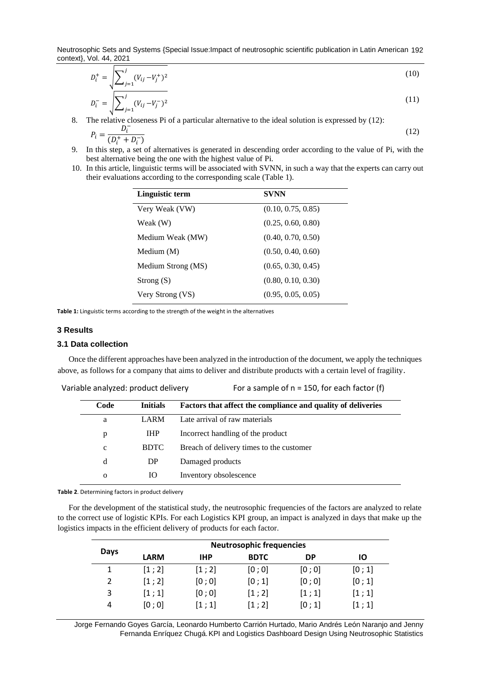Neutrosophic Sets and Systems {Special Issue:Impact of neutrosophic scientific publication in Latin American 192 context}, Vol. 44, 2021

$$
D_i^+ = \sqrt{\sum_{j=1}^j (V_{ij} - V_j^+)^2}
$$
\n
$$
D_i^- = \sqrt{\sum_{j=1}^j (V_{ij} - V_j^-)^2}
$$
\n(10)

 $D_i^- = \bigvee_{j=1}^{n} (V_{ij} - V_j^-)$ 8. The relative closeness Pi of a particular alternative to the ideal solution is expressed by (12):

$$
P_i = \frac{D_i^-}{(D_i^+ + D_i^-)}
$$
(12)

- 9. In this step, a set of alternatives is generated in descending order according to the value of Pi, with the best alternative being the one with the highest value of Pi.
- 10. In this article, linguistic terms will be associated with SVNN, in such a way that the experts can carry out their evaluations according to the corresponding scale (Table 1).

| Linguistic term    | <b>SVNN</b>        |
|--------------------|--------------------|
| Very Weak (VW)     | (0.10, 0.75, 0.85) |
| Weak (W)           | (0.25, 0.60, 0.80) |
| Medium Weak (MW)   | (0.40, 0.70, 0.50) |
| Medium (M)         | (0.50, 0.40, 0.60) |
| Medium Strong (MS) | (0.65, 0.30, 0.45) |
| Strong $(S)$       | (0.80, 0.10, 0.30) |
| Very Strong (VS)   | (0.95, 0.05, 0.05) |

**Table 1:** Linguistic terms according to the strength of the weight in the alternatives

#### **3 Results**

#### **3.1 Data collection**

Once the different approaches have been analyzed in the introduction of the document, we apply the techniques above, as follows for a company that aims to deliver and distribute products with a certain level of fragility.

|                         |             | Variable analyzed: product delivery | For a sample of $n = 150$ , for each factor (f)              |
|-------------------------|-------------|-------------------------------------|--------------------------------------------------------------|
| Code<br><b>Initials</b> |             |                                     | Factors that affect the compliance and quality of deliveries |
|                         | a           | LARM                                | Late arrival of raw materials                                |
|                         | p           | <b>IHP</b>                          | Incorrect handling of the product                            |
|                         | $\mathbf c$ | <b>BDTC</b>                         | Breach of delivery times to the customer                     |
|                         | d           | DP                                  | Damaged products                                             |
|                         | $\mathbf 0$ | IО                                  | Inventory obsolescence                                       |

**Table 2**. Determining factors in product delivery

For the development of the statistical study, the neutrosophic frequencies of the factors are analyzed to relate to the correct use of logistic KPIs. For each Logistics KPI group, an impact is analyzed in days that make up the logistics impacts in the efficient delivery of products for each factor.

| Days | <b>Neutrosophic frequencies</b> |            |             |           |       |  |
|------|---------------------------------|------------|-------------|-----------|-------|--|
|      | <b>LARM</b>                     | <b>IHP</b> | <b>BDTC</b> | <b>DP</b> | ΙO    |  |
|      | [1; 2]                          | [1; 2]     | [0; 0]      | [0; 0]    | [0;1] |  |
| 2    | [1; 2]                          | [0; 0]     | [0;1]       | [0; 0]    | [0;1] |  |
| 3    | [1;1]                           | [0; 0]     | [1; 2]      | [1;1]     | [1;1] |  |
| 4    | [0; 0]                          | [1;1]      | [1; 2]      | [0;1]     | [1;1] |  |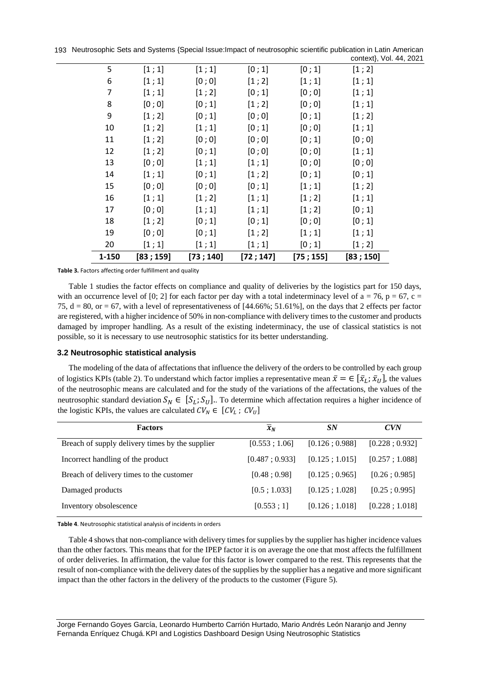193 Neutrosophic Sets and Systems {Special Issue: Impact of neutrosophic scientific publication in Latin American ol. 44, 2021

| 1-150 | [83;159] | [73; 140] | [72; 147] | [75; 155] | [83; 150]                                   |
|-------|----------|-----------|-----------|-----------|---------------------------------------------|
| 20    | [1;1]    | [1;1]     | [1;1]     | [0;1]     | [1; 2]                                      |
| 19    | [0; 0]   | [0;1]     | [1; 2]    | [1;1]     | [1;1]                                       |
| 18    | [1; 2]   | [0;1]     | [0;1]     | [0; 0]    | [0;1]                                       |
| 17    | [0; 0]   | [1;1]     | [1;1]     | [1; 2]    | [0;1]                                       |
| 16    | [1;1]    | [1; 2]    | [1;1]     | [1; 2]    | [1;1]                                       |
| 15    | [0; 0]   | [0; 0]    | [0;1]     | [1;1]     | [1; 2]                                      |
| 14    | [1;1]    | [0;1]     | [1; 2]    | [0;1]     | [0;1]                                       |
| 13    | [0; 0]   | [1;1]     | [1;1]     | [0; 0]    | [0; 0]                                      |
| 12    | [1; 2]   | [0;1]     | [0; 0]    | [0; 0]    | [1;1]                                       |
| 11    | [1; 2]   | [0; 0]    | [0; 0]    | [0;1]     | [0; 0]                                      |
| 10    | [1; 2]   | [1;1]     | [0;1]     | [0; 0]    | [1;1]                                       |
| 9     | [1; 2]   | [0;1]     | [0; 0]    | [0;1]     | [1; 2]                                      |
| 8     | [0; 0]   | [0;1]     | [1; 2]    | [0; 0]    | [1;1]                                       |
| 7     | [1;1]    | [1; 2]    | [0;1]     | [0; 0]    | [1;1]                                       |
| 6     | [1;1]    | [0; 0]    | [1; 2]    | [1;1]     | [1;1]                                       |
| 5     | [1;1]    | [1;1]     | [0;1]     | [0;1]     | COTTLEALY, VOI. $44$ , $\epsilon$<br>[1; 2] |

**Table 3.** Factors affecting order fulfillment and quality

Table 1 studies the factor effects on compliance and quality of deliveries by the logistics part for 150 days, with an occurrence level of [0; 2] for each factor per day with a total indeterminacy level of  $a = 76$ ,  $p = 67$ ,  $c =$ 75,  $d = 80$ , or  $= 67$ , with a level of representativeness of  $[44.66\%; 51.61\%]$ , on the days that 2 effects per factor are registered, with a higher incidence of 50% in non-compliance with delivery times to the customer and products damaged by improper handling. As a result of the existing indeterminacy, the use of classical statistics is not possible, so it is necessary to use neutrosophic statistics for its better understanding.

# **3.2 Neutrosophic statistical analysis**

The modeling of the data of affectations that influence the delivery of the orders to be controlled by each group of logistics KPIs (table 2). To understand which factor implies a representative mean  $\bar{x} = \in [\bar{x}_L; \bar{x}_U]$ , the values of the neutrosophic means are calculated and for the study of the variations of the affectations, the values of the neutrosophic standard deviation  $S_N \in [S_L; S_U]$ . To determine which affectation requires a higher incidence of the logistic KPIs, the values are calculated  $CV_N \in [CV_L; CV_U]$ 

| <b>Factors</b>                                  | $\overline{x}_N$ | SN             | <b>CVN</b>     |
|-------------------------------------------------|------------------|----------------|----------------|
| Breach of supply delivery times by the supplier | [0.553; 1.06]    | [0.126:0.988]  | [0.228:0.932]  |
| Incorrect handling of the product               | [0.487:0.933]    | [0.125:1.015]  | [0.257:1.088]  |
| Breach of delivery times to the customer        | [0.48; 0.98]     | [0.125:0.965]  | [0.26:0.985]   |
| Damaged products                                | [0.5; 1.033]     | [0.125:1.028]  | [0.25:0.995]   |
| Inventory obsolescence                          | [0.553; 1]       | [0.126; 1.018] | [0.228; 1.018] |

**Table 4**. Neutrosophic statistical analysis of incidents in orders

Table 4 shows that non-compliance with delivery times for supplies by the supplier has higher incidence values than the other factors. This means that for the IPEP factor it is on average the one that most affects the fulfillment of order deliveries. In affirmation, the value for this factor is lower compared to the rest. This represents that the result of non-compliance with the delivery dates of the supplies by the supplier has a negative and more significant impact than the other factors in the delivery of the products to the customer (Figure 5).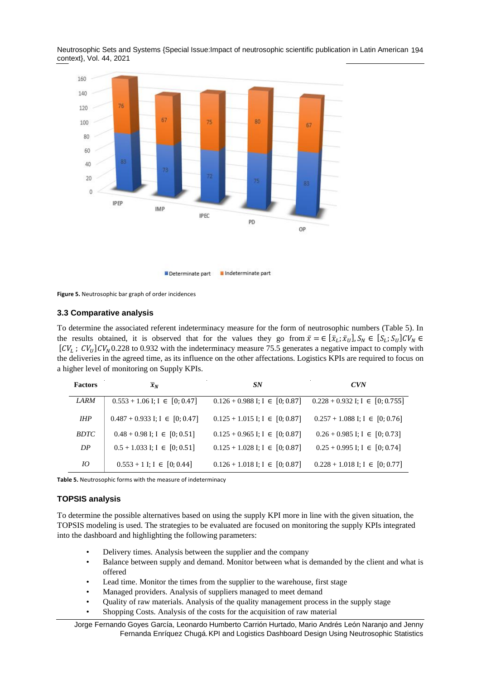Neutrosophic Sets and Systems {Special Issue:Impact of neutrosophic scientific publication in Latin American 194 context}, Vol. 44, 2021



Determinate part Indeterminate part

**Figure 5.** Neutrosophic bar graph of order incidences

# **3.3 Comparative analysis**

To determine the associated referent indeterminacy measure for the form of neutrosophic numbers (Table 5). In the results obtained, it is observed that for the values they go from  $\bar{x} = \in [\bar{x}_L; \bar{x}_U], S_N \in [S_L; S_U]CV_N \in$  $[CV_L; CV_U]CV_N$ 0.228 to 0.932 with the indeterminacy measure 75.5 generates a negative impact to comply with the deliveries in the agreed time, as its influence on the other affectations. Logistics KPIs are required to focus on a higher level of monitoring on Supply KPIs.

| <b>Factors</b> | $\overline{x}_N$                     | <b>SN</b>                            | <b>CVN</b>                            |
|----------------|--------------------------------------|--------------------------------------|---------------------------------------|
| <i>LARM</i>    | $0.553 + 1.06$ I; I $\in [0, 0.47]$  | $0.126 + 0.988$ I; I $\in [0, 0.87]$ | $0.228 + 0.932$ I; I $\in [0, 0.755]$ |
| <b>IHP</b>     | $0.487 + 0.933$ I; I $\in [0, 0.47]$ | $0.125 + 1.015$ I; I $\in [0, 0.87]$ | $0.257 + 1.088$ I; I $\in [0, 0.76]$  |
| <i>BDTC</i>    | $0.48 + 0.98$ I; I $\in [0, 0.51]$   | $0.125 + 0.965$ I; I $\in [0, 0.87]$ | $0.26 + 0.985$ I; I $\in [0, 0.73]$   |
| DP             | $0.5 + 1.033$ I; I $\in [0, 0.51]$   | $0.125 + 1.028$ I; I $\in [0, 0.87]$ | $0.25 + 0.995$ I; I $\in [0, 0.74]$   |
| 10             | $0.553 + 1$ I; I $\in [0, 0.44]$     | $0.126 + 1.018$ I; I $\in [0, 0.87]$ | $0.228 + 1.018$ I; I $\in [0, 0.77]$  |

**Table 5.** Neutrosophic forms with the measure of indeterminacy

# **TOPSIS analysis**

To determine the possible alternatives based on using the supply KPI more in line with the given situation, the TOPSIS modeling is used. The strategies to be evaluated are focused on monitoring the supply KPIs integrated into the dashboard and highlighting the following parameters:

- Delivery times. Analysis between the supplier and the company
- Balance between supply and demand. Monitor between what is demanded by the client and what is offered
- Lead time. Monitor the times from the supplier to the warehouse, first stage
- Managed providers. Analysis of suppliers managed to meet demand
- Quality of raw materials. Analysis of the quality management process in the supply stage
- Shopping Costs. Analysis of the costs for the acquisition of raw material

Jorge Fernando Goyes García, Leonardo Humberto Carrión Hurtado, Mario Andrés León Naranjo and Jenny Fernanda Enríquez Chugá.KPI and Logistics Dashboard Design Using Neutrosophic Statistics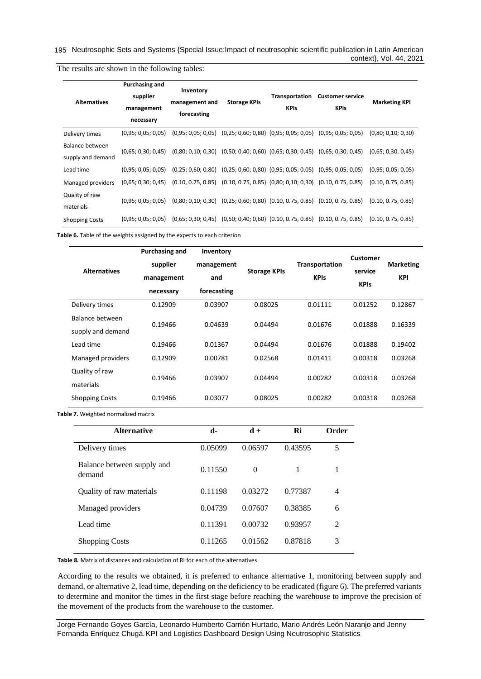195 Neutrosophic Sets and Systems {Special Issue: Impact of neutrosophic scientific publication in Latin American context}, Vol. 44, 2021

| <b>Alternatives</b>                  | Purchasing and<br>supplier<br>management<br>necessary | Inventory<br>management and<br>forecasting                                          | <b>Storage KPIs</b> | Transportation<br><b>KPIs</b> | <b>Customer service</b><br><b>KPIs</b>                                              | <b>Marketing KPI</b> |
|--------------------------------------|-------------------------------------------------------|-------------------------------------------------------------------------------------|---------------------|-------------------------------|-------------------------------------------------------------------------------------|----------------------|
| Delivery times                       | (0.95; 0.05; 0.05)                                    |                                                                                     |                     |                               | $(0.95; 0.05; 0.05)$ $(0.25; 0.60; 0.80)$ $(0.95; 0.05; 0.05)$ $(0.95; 0.05; 0.05)$ | (0,80; 0,10; 0,30)   |
| Balance between<br>supply and demand | (0.65; 0.30; 0.45)                                    | $(0,80; 0,10; 0,30)$ $(0,50; 0,40; 0,60)$ $(0,65; 0,30; 0,45)$ $(0,65; 0,30; 0,45)$ |                     |                               |                                                                                     | (0.65; 0.30; 0.45)   |
| Lead time                            | (0.95; 0.05; 0.05)                                    | $(0,25; 0,60; 0,80)$ $(0,25; 0,60; 0,80)$ $(0,95; 0,05; 0,05)$ $(0,95; 0,05; 0,05)$ |                     |                               |                                                                                     | (0,95; 0,05; 0,05)   |
| Managed providers                    | (0.65; 0.30; 0.45)                                    | $(0.10, 0.75, 0.85)$ $(0.10, 0.75, 0.85)$ $(0.80, 0.10, 0.30)$ $(0.10, 0.75, 0.85)$ |                     |                               |                                                                                     | (0.10, 0.75, 0.85)   |
| Quality of raw<br>materials          | (0.95; 0.05; 0.05)                                    |                                                                                     |                     |                               | $(0,80; 0,10; 0,30)$ $(0,25; 0,60; 0,80)$ $(0.10, 0.75, 0.85)$ $(0.10, 0.75, 0.85)$ | (0.10, 0.75, 0.85)   |
| <b>Shopping Costs</b>                | (0.95; 0.05; 0.05)                                    | (0.65; 0.30; 0.45)                                                                  |                     |                               | $(0,50; 0,40; 0,60)$ $(0.10, 0.75, 0.85)$ $(0.10, 0.75, 0.85)$                      | (0.10, 0.75, 0.85)   |

The results are shown in the following tables:

**Table 6.** Table of the weights assigned by the experts to each criterion

| <b>Alternatives</b>                  | Purchasing and<br>supplier<br>management<br>necessary | Inventory<br>management<br>and<br>forecasting | <b>Storage KPIs</b> | <b>Transportation</b><br><b>KPIs</b> | Customer<br>service<br><b>KPIs</b> | <b>Marketing</b><br><b>KPI</b> |
|--------------------------------------|-------------------------------------------------------|-----------------------------------------------|---------------------|--------------------------------------|------------------------------------|--------------------------------|
| Delivery times                       | 0.12909                                               | 0.03907                                       | 0.08025             | 0.01111                              | 0.01252                            | 0.12867                        |
| Balance between<br>supply and demand | 0.19466                                               | 0.04639                                       | 0.04494             | 0.01676                              | 0.01888                            | 0.16339                        |
| Lead time                            | 0.19466                                               | 0.01367                                       | 0.04494             | 0.01676                              | 0.01888                            | 0.19402                        |
| Managed providers                    | 0.12909                                               | 0.00781                                       | 0.02568             | 0.01411                              | 0.00318                            | 0.03268                        |
| Quality of raw<br>materials          | 0.19466                                               | 0.03907                                       | 0.04494             | 0.00282                              | 0.00318                            | 0.03268                        |
| <b>Shopping Costs</b>                | 0.19466                                               | 0.03077                                       | 0.08025             | 0.00282                              | 0.00318                            | 0.03268                        |

**Table 7.** Weighted normalized matrix

| <b>Alternative</b>                   | d-      | $\mathbf{d} +$ | Ri      | Order |
|--------------------------------------|---------|----------------|---------|-------|
| Delivery times                       | 0.05099 | 0.06597        | 0.43595 | 5     |
| Balance between supply and<br>demand | 0.11550 | $\Omega$       | 1       | 1     |
| Quality of raw materials             | 0.11198 | 0.03272        | 0.77387 | 4     |
| Managed providers                    | 0.04739 | 0.07607        | 0.38385 | 6     |
| Lead time                            | 0.11391 | 0.00732        | 0.93957 | 2     |
| <b>Shopping Costs</b>                | 0.11265 | 0.01562        | 0.87818 | 3     |

**Table 8.** Matrix of distances and calculation of Ri for each of the alternatives

According to the results we obtained, it is preferred to enhance alternative 1, monitoring between supply and demand, or alternative 2, lead time, depending on the deficiency to be eradicated (figure 6). The preferred variants to determine and monitor the times in the first stage before reaching the warehouse to improve the precision of the movement of the products from the warehouse to the customer.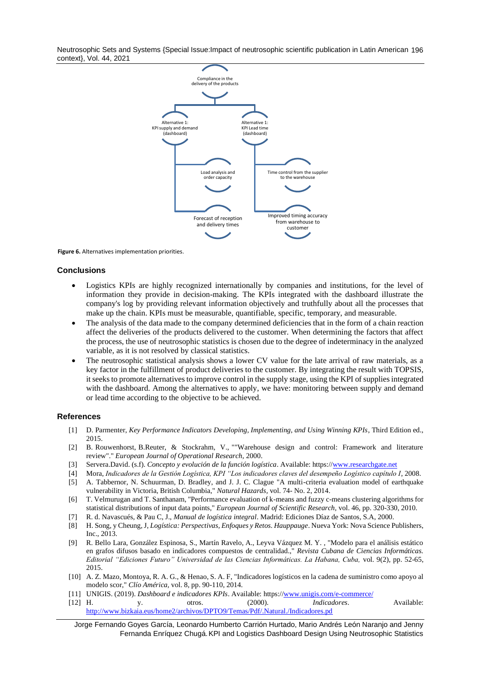Neutrosophic Sets and Systems {Special Issue:Impact of neutrosophic scientific publication in Latin American 196 context}, Vol. 44, 2021



**Figure 6.** Alternatives implementation priorities.

#### **Conclusions**

- Logistics KPIs are highly recognized internationally by companies and institutions, for the level of information they provide in decision-making. The KPIs integrated with the dashboard illustrate the company's log by providing relevant information objectively and truthfully about all the processes that make up the chain. KPIs must be measurable, quantifiable, specific, temporary, and measurable.
- The analysis of the data made to the company determined deficiencies that in the form of a chain reaction affect the deliveries of the products delivered to the customer. When determining the factors that affect the process, the use of neutrosophic statistics is chosen due to the degree of indeterminacy in the analyzed variable, as it is not resolved by classical statistics.
- The neutrosophic statistical analysis shows a lower CV value for the late arrival of raw materials, as a key factor in the fulfillment of product deliveries to the customer. By integrating the result with TOPSIS, it seeks to promote alternatives to improve control in the supply stage, using the KPI of supplies integrated with the dashboard. Among the alternatives to apply, we have: monitoring between supply and demand or lead time according to the objective to be achieved.

#### **References**

- <span id="page-8-0"></span>[1] D. Parmenter, *Key Performance Indicators Developing, Implementing, and Using Winning KPIs*, Third Edition ed., 2015.
- <span id="page-8-1"></span>[2] B. Rouwenhorst, B.Reuter, & Stockrahm, V., ""Warehouse design and control: Framework and literature review"." *European Journal of Operational Research,* 2000.
- <span id="page-8-2"></span>[3] Servera.David. (s.f). *Concepto y evolución de la función logística*. Available: https:/[/www.researchgate.net](http://www.researchgate.net/)
- <span id="page-8-3"></span>[4] Mora, *Indicadores de la Gestión Logística, KPI "Los indicadores claves del desempeño Logístico capítulo I*, 2008.
- [5] A. Tabbernor, N. Schuurman, D. Bradley, and J. J. C. Clague "A multi-criteria evaluation model of earthquake vulnerability in Victoria, British Columbia," *Natural Hazards,* vol. 74- No. 2, 2014.
- [6] T. Velmurugan and T. Santhanam, "Performance evaluation of k-means and fuzzy c-means clustering algorithms for statistical distributions of input data points," *European Journal of Scientific Research,* vol. 46, pp. 320-330, 2010.
- <span id="page-8-4"></span>[7] R. d. Navascués, & Pau C, J., *Manual de logística integral*. Madrid: Ediciones Díaz de Santos, S.A, 2000.
- <span id="page-8-5"></span>[8] H. Song, y Cheung, J, *Logística: Perspectivas, Enfoques y Retos. Hauppauge*. Nueva York: Nova Science Publishers, Inc., 2013.
- <span id="page-8-6"></span>[9] R. Bello Lara, González Espinosa, S., Martín Ravelo, A., Leyva Vázquez M. Y. , "Modelo para el análisis estático en grafos difusos basado en indicadores compuestos de centralidad.," *Revista Cubana de Ciencias Informáticas. Editorial "Ediciones Futuro" Universidad de las Ciencias Informáticas. La Habana, Cuba,* vol. 9(2), pp. 52-65, 2015.
- <span id="page-8-7"></span>[10] A. Z. Mazo, Montoya, R. A. G., & Henao, S. A. F, "Indicadores logísticos en la cadena de suministro como apoyo al modelo scor," *Clío América,* vol. 8, pp. 90-110, 2014.
- <span id="page-8-8"></span>[11] UNIGIS. (2019). *Dashboard e indicadores KPIs*. Available: https:/[/www.unigis.com/e-commerce/](http://www.unigis.com/e-commerce/)
- <span id="page-8-9"></span>[12] H. y. otros. (2000). *Indicadores*. Available: <http://www.bizkaia.eus/home2/archivos/DPTO9/Temas/Pdf/.Natural./Indicadores.pd>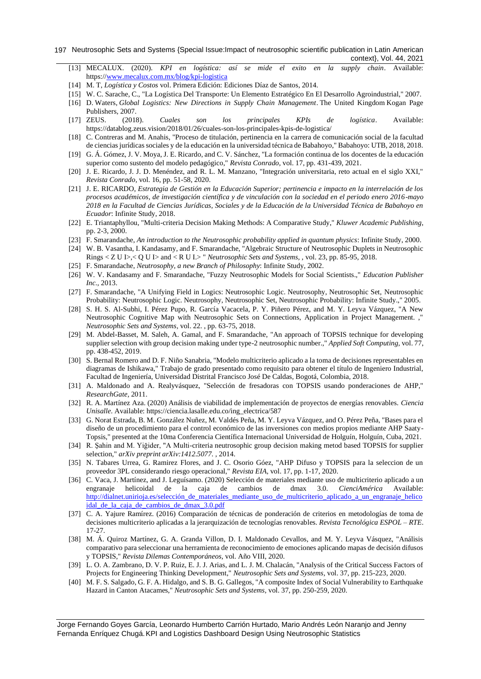#### 197 Neutrosophic Sets and Systems {Special Issue: Impact of neutrosophic scientific publication in Latin American context}, Vol. 44, 2021

- <span id="page-9-0"></span>[13] MECALUX. (2020). *KPI en logística: así se mide el exito en la supply chain*. Available: https:/[/www.mecalux.com.mx/blog/kpi-logistica](http://www.mecalux.com.mx/blog/kpi-logistica)
- <span id="page-9-1"></span>[14] M. T, *Logística y Costos* vol. Primera Edición: Ediciones Díaz de Santos, 2014.
- <span id="page-9-2"></span>[15] W. C. Sarache, C., "La Logística Del Transporte: Un Elemento Estratégico En El Desarrollo Agroindustrial," 2007.
- <span id="page-9-3"></span>[16] D. Waters, *Global Logistics: New Directions in Supply Chain Management*. The United Kingdom Kogan Page Publishers, 2007.
- <span id="page-9-4"></span>[17] ZEUS. (2018). *Cuales son los principales KPIs de logística*. Available: https://datablog.zeus.vision/2018/01/26/cuales-son-los-principales-kpis-de-logistica/
- <span id="page-9-5"></span>[18] C. Contreras and M. Anahis, "Proceso de titulación, pertinencia en la carrera de comunicación social de la facultad de ciencias jurídicas sociales y de la educación en la universidad técnica de Babahoyo," Babahoyo: UTB, 2018, 2018.
- [19] G. Á. Gómez, J. V. Moya, J. E. Ricardo, and C. V. Sánchez, "La formación continua de los docentes de la educación superior como sustento del modelo pedagógico," *Revista Conrado,* vol. 17, pp. 431-439, 2021.
- [20] J. E. Ricardo, J. J. D. Menéndez, and R. L. M. Manzano, "Integración universitaria, reto actual en el siglo XXI," *Revista Conrado,* vol. 16, pp. 51-58, 2020.
- [21] J. E. RICARDO, *Estrategia de Gestión en la Educación Superior; pertinencia e impacto en la interrelación de los procesos académicos, de investigación científica y de vinculación con la sociedad en el periodo enero 2016-mayo 2018 en la Facultad de Ciencias Jurídicas, Sociales y de la Educación de la Universidad Técnica de Babahoyo en Ecuador*: Infinite Study, 2018.
- <span id="page-9-6"></span>[22] E. Triantaphyllou, "Multi-criteria Decision Making Methods: A Comparative Study," *Kluwer Academic Publishing,*  pp. 2-3, 2000.
- <span id="page-9-7"></span>[23] F. Smarandache, *An introduction to the Neutrosophic probability applied in quantum physics*: Infinite Study, 2000.
- <span id="page-9-8"></span>[24] W. B. Vasantha, I. Kandasamy, and F. Smarandache, "Algebraic Structure of Neutrosophic Duplets in Neutrosophic Rings < Z U I>,< Q U I> and < R U I.> " *Neutrosophic Sets and Systems, ,* vol. 23, pp. 85-95, 2018.
- <span id="page-9-9"></span>[25] F. Smarandache, *Neutrosophy, a new Branch of Philosophy*: Infinite Study, 2002.
- <span id="page-9-10"></span>[26] W. V. Kandasamy and F. Smarandache, "Fuzzy Neutrosophic Models for Social Scientists.," *Education Publisher Inc.,* 2013.
- <span id="page-9-11"></span>[27] F. Smarandache, "A Unifying Field in Logics: Neutrosophic Logic. Neutrosophy, Neutrosophic Set, Neutrosophic Probability: Neutrosophic Logic. Neutrosophy, Neutrosophic Set, Neutrosophic Probability: Infinite Study.," 2005.
- <span id="page-9-12"></span>[28] S. H. S. Al-Subhi, I. Pérez Pupo, R. García Vacacela, P. Y. Piñero Pérez, and M. Y. Leyva Vázquez, "A New Neutrosophic Cognitive Map with Neutrosophic Sets on Connections, Application in Project Management. ," *Neutrosophic Sets and Systems,* vol. 22. , pp. 63-75, 2018.
- [29] M. Abdel-Basset, M. Saleh, A. Gamal, and F. Smarandache, "An approach of TOPSIS technique for developing supplier selection with group decision making under type-2 neutrosophic number.," *Applied Soft Computing,* vol. 77, pp. 438-452, 2019.
- [30] S. Bernal Romero and D. F. Niño Sanabria, "Modelo multicriterio aplicado a la toma de decisiones representables en diagramas de Ishikawa," Trabajo de grado presentado como requisito para obtener el título de Ingeniero Industrial, Facultad de Ingeniería, Universidad Distrital Francisco José De Caldas, Bogotá, Colombia, 2018.
- [31] A. Maldonado and A. Realyvásquez, "Selección de fresadoras con TOPSIS usando ponderaciones de AHP," *ResearchGate,* 2011.
- [32] R. A. Martínez Aza. (2020) Análisis de viabilidad de implementación de proyectos de energías renovables. *Ciencia Unisalle*. Available: https://ciencia.lasalle.edu.co/ing\_electrica/587
- [33] G. Norat Estrada, B. M. González Nuñez, M. Valdés Peña, M. Y. Leyva Vázquez, and O. Pérez Peña, "Bases para el diseño de un procedimiento para el control económico de las inversiones con medios propios mediante AHP Saaty-Topsis," presented at the 10ma Conferencia Científica Internacional Universidad de Holguín, Holguín, Cuba, 2021.
- [34] R. Şahin and M. Yiğider, "A Multi-criteria neutrosophic group decision making metod based TOPSIS for supplier selection," *arXiv preprint arXiv:1412.5077. ,* 2014.
- [35] N. Tabares Urrea, G. Ramirez Flores, and J. C. Osorio Góez, "AHP Difuso y TOPSIS para la seleccion de un proveedor 3PL considerando riesgo operacional," *Revista EIA,* vol. 17, pp. 1-17, 2020.
- [36] C. Vaca, J. Martínez, and J. Leguísamo. (2020) Selección de materiales mediante uso de multicriterio aplicado a un engranaje helicoidal de la caja de cambios de dmax 3.0. *CienciAmérica* Available: http://dialnet.unirioja.es/selección de materiales mediante uso de multicriterio aplicado a un engranaje helico [idal\\_de\\_la\\_caja\\_de\\_cambios\\_de\\_dmax\\_3.0.pdf](http://dialnet.unirioja.es/selección_de_materiales_mediante_uso_de_multicriterio_aplicado_a_un_engranaje_helicoidal_de_la_caja_de_cambios_de_dmax_3.0.pdf)
- [37] C. A. Yajure Ramírez. (2016) Comparación de técnicas de ponderación de criterios en metodologías de toma de decisiones multicriterio aplicadas a la jerarquización de tecnologías renovables. *Revista Tecnológica ESPOL – RTE*. 17-27.
- [38] M. Á. Quiroz Martínez, G. A. Granda Villon, D. I. Maldonado Cevallos, and M. Y. Leyva Vásquez, "Análisis comparativo para seleccionar una herramienta de reconocimiento de emociones aplicando mapas de decisión difusos y TOPSIS," *Revista Dilemas Contemporáneos,* vol. Año VIII, 2020.
- [39] L. O. A. Zambrano, D. V. P. Ruiz, E. J. J. Arias, and L. J. M. Chalacán, "Analysis of the Critical Success Factors of Projects for Engineering Thinking Development," *Neutrosophic Sets and Systems,* vol. 37, pp. 215-223, 2020.
- [40] M. F. S. Salgado, G. F. A. Hidalgo, and S. B. G. Gallegos, "A composite Index of Social Vulnerability to Earthquake Hazard in Canton Atacames," *Neutrosophic Sets and Systems,* vol. 37, pp. 250-259, 2020.